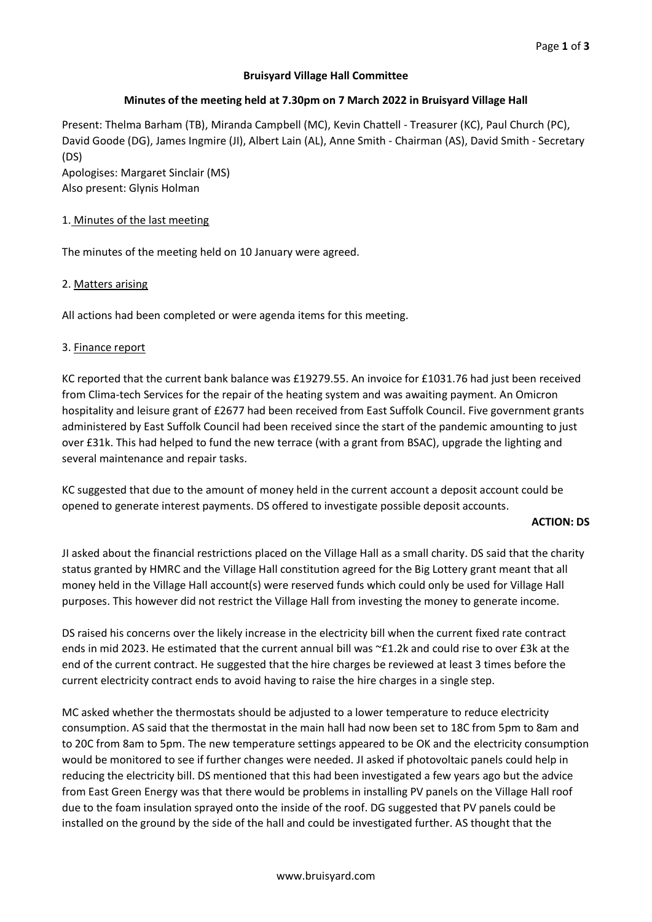# **Bruisyard Village Hall Committee**

## **Minutes of the meeting held at 7.30pm on 7 March 2022 in Bruisyard Village Hall**

Present: Thelma Barham (TB), Miranda Campbell (MC), Kevin Chattell - Treasurer (KC), Paul Church (PC), David Goode (DG), James Ingmire (JI), Albert Lain (AL), Anne Smith - Chairman (AS), David Smith - Secretary (DS) Apologises: Margaret Sinclair (MS)

Also present: Glynis Holman

### 1. Minutes of the last meeting

The minutes of the meeting held on 10 January were agreed.

### 2. Matters arising

All actions had been completed or were agenda items for this meeting.

### 3. Finance report

KC reported that the current bank balance was £19279.55. An invoice for £1031.76 had just been received from Clima-tech Services for the repair of the heating system and was awaiting payment. An Omicron hospitality and leisure grant of £2677 had been received from East Suffolk Council. Five government grants administered by East Suffolk Council had been received since the start of the pandemic amounting to just over £31k. This had helped to fund the new terrace (with a grant from BSAC), upgrade the lighting and several maintenance and repair tasks.

KC suggested that due to the amount of money held in the current account a deposit account could be opened to generate interest payments. DS offered to investigate possible deposit accounts.

### **ACTION: DS**

JI asked about the financial restrictions placed on the Village Hall as a small charity. DS said that the charity status granted by HMRC and the Village Hall constitution agreed for the Big Lottery grant meant that all money held in the Village Hall account(s) were reserved funds which could only be used for Village Hall purposes. This however did not restrict the Village Hall from investing the money to generate income.

DS raised his concerns over the likely increase in the electricity bill when the current fixed rate contract ends in mid 2023. He estimated that the current annual bill was ~£1.2k and could rise to over £3k at the end of the current contract. He suggested that the hire charges be reviewed at least 3 times before the current electricity contract ends to avoid having to raise the hire charges in a single step.

MC asked whether the thermostats should be adjusted to a lower temperature to reduce electricity consumption. AS said that the thermostat in the main hall had now been set to 18C from 5pm to 8am and to 20C from 8am to 5pm. The new temperature settings appeared to be OK and the electricity consumption would be monitored to see if further changes were needed. JI asked if photovoltaic panels could help in reducing the electricity bill. DS mentioned that this had been investigated a few years ago but the advice from East Green Energy was that there would be problems in installing PV panels on the Village Hall roof due to the foam insulation sprayed onto the inside of the roof. DG suggested that PV panels could be installed on the ground by the side of the hall and could be investigated further. AS thought that the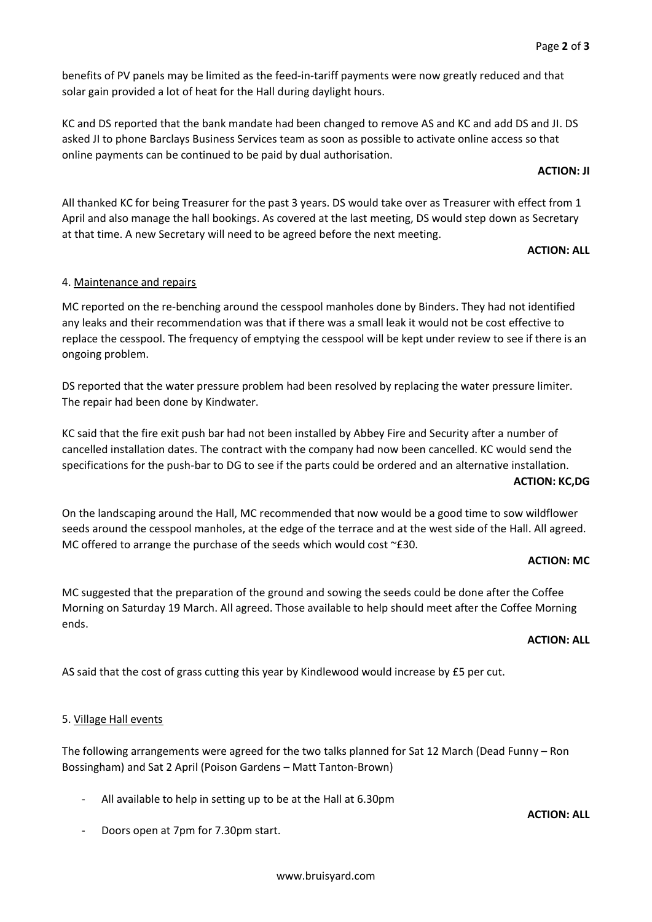benefits of PV panels may be limited as the feed-in-tariff payments were now greatly reduced and that solar gain provided a lot of heat for the Hall during daylight hours.

KC and DS reported that the bank mandate had been changed to remove AS and KC and add DS and JI. DS asked JI to phone Barclays Business Services team as soon as possible to activate online access so that online payments can be continued to be paid by dual authorisation.

**ACTION: JI**

All thanked KC for being Treasurer for the past 3 years. DS would take over as Treasurer with effect from 1 April and also manage the hall bookings. As covered at the last meeting, DS would step down as Secretary at that time. A new Secretary will need to be agreed before the next meeting.

### **ACTION: ALL**

### 4. Maintenance and repairs

MC reported on the re-benching around the cesspool manholes done by Binders. They had not identified any leaks and their recommendation was that if there was a small leak it would not be cost effective to replace the cesspool. The frequency of emptying the cesspool will be kept under review to see if there is an ongoing problem.

DS reported that the water pressure problem had been resolved by replacing the water pressure limiter. The repair had been done by Kindwater.

KC said that the fire exit push bar had not been installed by Abbey Fire and Security after a number of cancelled installation dates. The contract with the company had now been cancelled. KC would send the specifications for the push-bar to DG to see if the parts could be ordered and an alternative installation. **ACTION: KC,DG**

On the landscaping around the Hall, MC recommended that now would be a good time to sow wildflower seeds around the cesspool manholes, at the edge of the terrace and at the west side of the Hall. All agreed. MC offered to arrange the purchase of the seeds which would cost ~£30.

### **ACTION: MC**

MC suggested that the preparation of the ground and sowing the seeds could be done after the Coffee Morning on Saturday 19 March. All agreed. Those available to help should meet after the Coffee Morning ends.

## **ACTION: ALL**

**ACTION: ALL**

AS said that the cost of grass cutting this year by Kindlewood would increase by £5 per cut.

### 5. Village Hall events

The following arrangements were agreed for the two talks planned for Sat 12 March (Dead Funny – Ron Bossingham) and Sat 2 April (Poison Gardens – Matt Tanton-Brown)

- All available to help in setting up to be at the Hall at 6.30pm
- Doors open at 7pm for 7.30pm start.